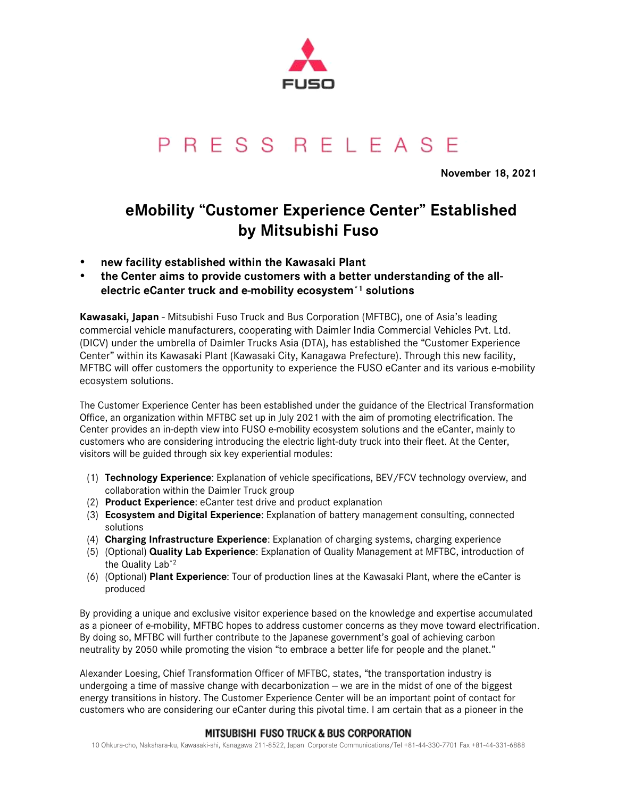

# PRESS RELEASE

**November 18, 2021**

# **eMobility "Customer Experience Center" Established by Mitsubishi Fuso**

- **new facility established within the Kawasaki Plant**
- **the Center aims to provide customers with a better understanding of the allelectric eCanter truck and e-mobility ecosystem\*1 solutions**

**Kawasaki, Japan** - Mitsubishi Fuso Truck and Bus Corporation (MFTBC), one of Asia's leading commercial vehicle manufacturers, cooperating with Daimler India Commercial Vehicles Pvt. Ltd. (DICV) under the umbrella of Daimler Trucks Asia (DTA), has established the "Customer Experience Center" within its Kawasaki Plant (Kawasaki City, Kanagawa Prefecture). Through this new facility, MFTBC will offer customers the opportunity to experience the FUSO eCanter and its various e-mobility ecosystem solutions.

The Customer Experience Center has been established under the guidance of the Electrical Transformation Office, an organization within MFTBC set up in July 2021 with the aim of promoting electrification. The Center provides an in-depth view into FUSO e-mobility ecosystem solutions and the eCanter, mainly to customers who are considering introducing the electric light-duty truck into their fleet. At the Center, visitors will be guided through six key experiential modules:

- (1) **Technology Experience**: Explanation of vehicle specifications, BEV/FCV technology overview, and collaboration within the Daimler Truck group
- (2) **Product Experience**: eCanter test drive and product explanation
- (3) **Ecosystem and Digital Experience**: Explanation of battery management consulting, connected solutions
- (4) **Charging Infrastructure Experience**: Explanation of charging systems, charging experience
- (5) (Optional) **Quality Lab Experience**: Explanation of Quality Management at MFTBC, introduction of the Quality Lab<sup>\*2</sup>
- (6) (Optional) **Plant Experience**: Tour of production lines at the Kawasaki Plant, where the eCanter is produced

By providing a unique and exclusive visitor experience based on the knowledge and expertise accumulated as a pioneer of e-mobility, MFTBC hopes to address customer concerns as they move toward electrification. By doing so, MFTBC will further contribute to the Japanese government's goal of achieving carbon neutrality by 2050 while promoting the vision "to embrace a better life for people and the planet."

Alexander Loesing, Chief Transformation Officer of MFTBC, states, "the transportation industry is undergoing a time of massive change with decarbonization  $-\omega$  are in the midst of one of the biggest energy transitions in history. The Customer Experience Center will be an important point of contact for customers who are considering our eCanter during this pivotal time. I am certain that as a pioneer in the

## **MITSUBISHI FUSO TRUCK & BUS CORPORATION**

10 Ohkura-cho, Nakahara-ku, Kawasaki-shi, Kanagawa 211-8522, Japan Corporate Communications/Tel +81-44-330-7701 Fax +81-44-331-6888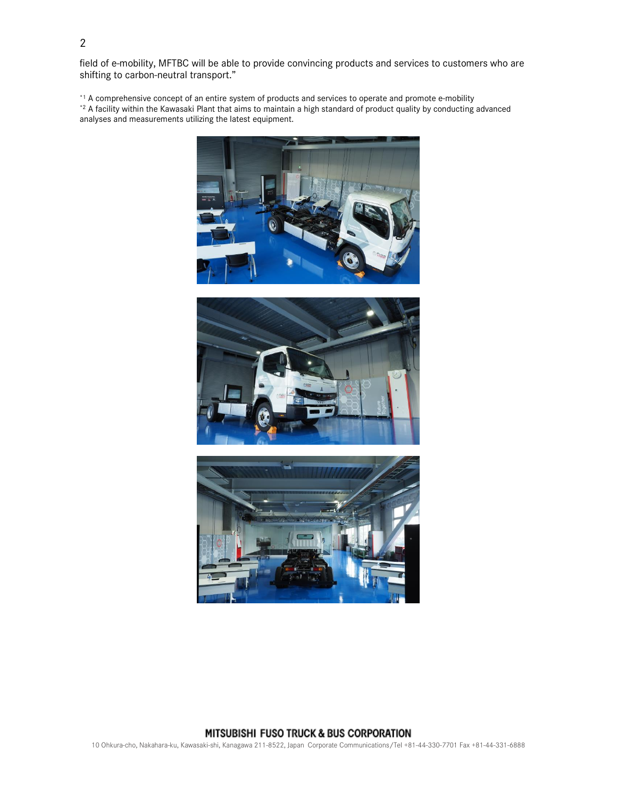field of e-mobility, MFTBC will be able to provide convincing products and services to customers who are shifting to carbon-neutral transport."

\*1 A comprehensive concept of an entire system of products and services to operate and promote e-mobility \*2 A facility within the Kawasaki Plant that aims to maintain a high standard of product quality by conducting advanced analyses and measurements utilizing the latest equipment.







### MITSUBISHI FUSO TRUCK & BUS CORPORATION

10 Ohkura-cho, Nakahara-ku, Kawasaki-shi, Kanagawa 211-8522, Japan Corporate Communications/Tel +81-44-330-7701 Fax +81-44-331-6888